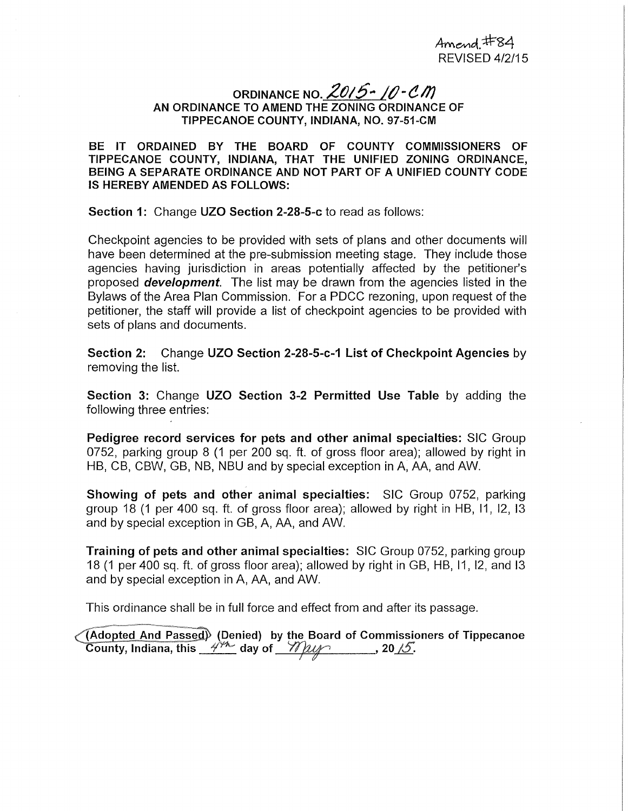## ORDINANCE NO.  $20/5 - 10$  <sup>-</sup>  $CM$ AN ORDINANCE TO AMEND THE ZONING ORDINANCE OF TIPPECANOE COUNTY, INDIANA, NO. 97-51-CM

BE IT ORDAINED BY THE BOARD OF COUNTY COMMISSIONERS OF TIPPECANOE COUNTY, INDIANA, THAT THE UNIFIED ZONING ORDINANCE, BEING A SEPARATE ORDINANCE AND NOT PART OF A UNIFIED COUNTY CODE IS HEREBY AMENDED AS FOLLOWS:

Section 1: Change UZO Section 2-28-5-c to read as follows:

Checkpoint agencies to be provided with sets of plans and other documents will have been determined at the pre-submission meeting stage. They include those agencies having jurisdiction in areas potentially affected by the petitioner's proposed **development**. The list may be drawn from the agencies listed in the Bylaws of the Area Plan Commission. For a PDCC rezoning, upon request of the petitioner, the staff will provide a list of checkpoint agencies to be provided with sets of plans and documents.

Section 2: Change UZO Section 2-28-5-c-1 List of Checkpoint Agencies by removing the list.

Section 3: Change UZO Section 3-2 Permitted Use Table by adding the following three entries:

Pedigree record services for pets and other animal specialties: SIC Group 0752, parking group 8 (1 per 200 sq. ft. of gross floor area); allowed by right in HB, CB, CBW, GB, NB, NBU and by special exception in A, AA, and AW.

Showing of pets and other animal specialties: SIC Group 0752, parking group 18 (1 per 400 sq. ft. of gross floor area); allowed by right in HB, 11, 12, 13 and by special exception in GB, A, AA, and AW.

Training of pets and other animal specialties: SIC Group 0752, parking group 18 (1 per 400 sq. ft. of gross floor area); allowed by right in GB, HB, 11, 12, and 13 and by special exception in A, AA, and AW.

This ordinance shall be in full force and effect from and after its passage.

(Adopted And Passed) (Denied) by the Board of Commissioners of Tippecanoe ر<br>(Adopted And Passed) (Denied) by the Board of Commissic<br>County, Indiana, this <u>مَ<sup>هري</sup>د</u> day of *مستريد ,* 20 کل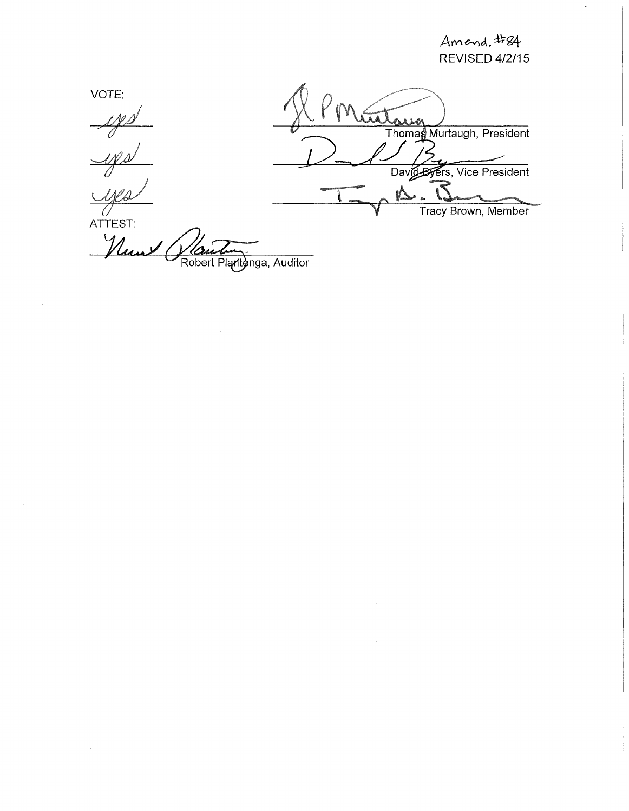$A$ m end.  $\pm 84$ REVISED 4/2/15

VOTE:  $\frac{\mathcal{M}}{\mathcal{N}}$ Thomas Murtaugh, President <u>yes</u> David Byers, Vice President  $\sim 5$  $\mathbf{M}$ Tracy Brown, Member  $\overline{\overline{\overline{C}}\overline{\overline{C}}\overline{\overline{C}}\overline{\overline{C}}\overline{\overline{C}}\overline{\overline{C}}\overline{\overline{C}}\overline{\overline{C}}\overline{\overline{C}}\overline{\overline{C}}\overline{\overline{C}}\overline{\overline{C}}\overline{\overline{C}}\overline{\overline{C}}\overline{\overline{C}}$ Num Robert Plantenga, Auditor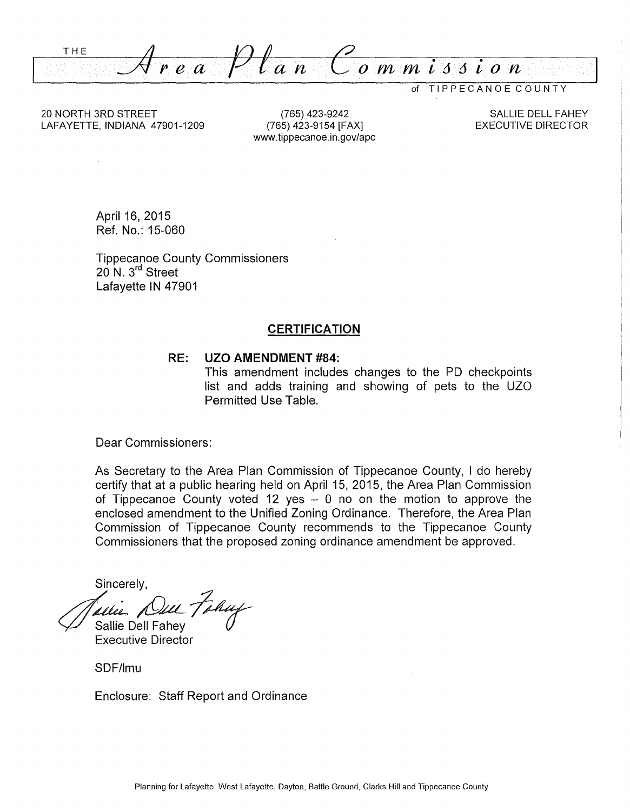THE *=Area Plan Commi66ion* 

of TIPPECANOE COUNTY

20 NORTH 3RD STREET LAFAYETTE, INDIANA 47901-1209

(765) 423-9242 (765) 423-9154 [FAX] www.tippecanoe.in.gov/apc

SALLIE DELL FAHEY EXECUTIVE DIRECTOR

April 16, 2015 Ref. No.: 15-060

Tippecanoe County Commissioners 20 N. 3<sup>rd</sup> Street Lafayette IN 47901

#### **CERTIFICATION**

#### **RE: UZO AMENDMENT #84:**

This amendment includes changes to the PD checkpoints list and adds training and showing of pets to the UZO Permitted Use Table.

Dear Commissioners:

As Secretary to the Area Plan Commission of Tippecanoe County, I do hereby certify that at a public hearing held on April 15, 2015, the Area Plan Commission of Tippecanoe County voted 12 yes  $-$  0 no on the motion to approve the enclosed amendment to the Unified Zoning Ordinance. Therefore, the Area Plan Commission of Tippecanoe County recommends to the Tippecanoe County Commissioners that the proposed zoning ordinance amendment be approved.

Sincerely,

de : *Dun Fahuy*<br>Sallie Dell Fahey

Executive Director

SDF/lmu

Enclosure: Staff Report and Ordinance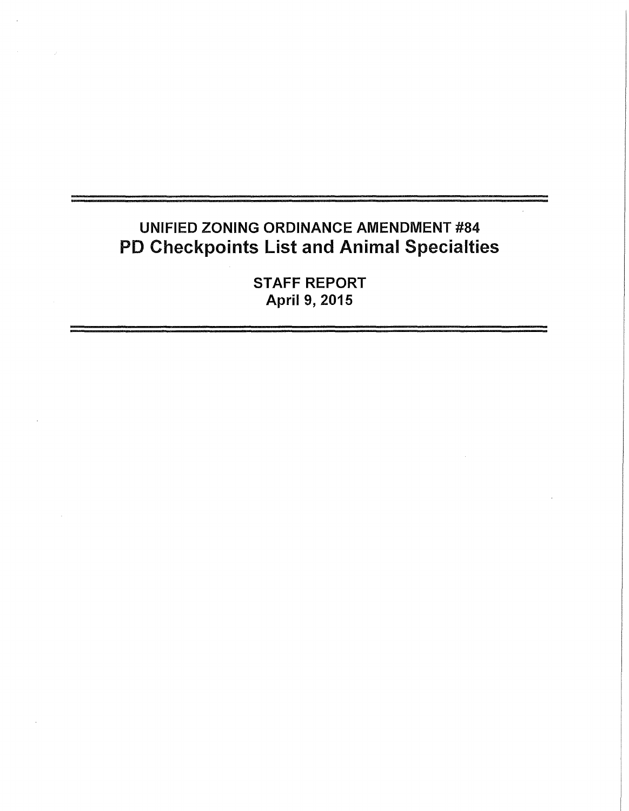# UNIFIED ZONING ORDINANCE AMENDMENT #84 PD Checkpoints List and Animal Specialties

STAFF REPORT April 9, 2015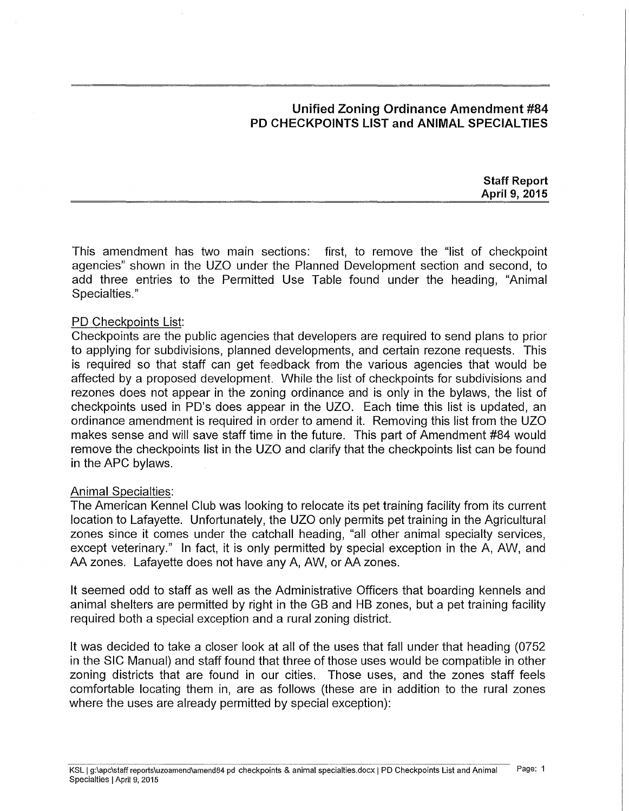# **Unified Zoning Ordinance Amendment #84 PD CHECKPOINTS LIST and ANIMAL SPECIAL TIES**

**Staff Report April 9, 2015** 

This amendment has two main sections: first, to remove the "list of checkpoint agencies" shown in the UZO under the Planned Development section and second, to add three entries to the Permitted Use Table found under the heading, "Animal Specialties."

### PD Checkpoints List:

Checkpoints are the public agencies that developers are required to send plans to prior to applying for subdivisions, planned developments, and certain rezone requests. This is required so that staff can get feedback from the various agencies that would be affected by a proposed development. While the list of checkpoints for subdivisions and rezones does not appear in the zoning ordinance and is only in the bylaws, the list of checkpoints used in PD's does appear in the UZO. Each time this list is updated, an ordinance amendment is required in order to amend it. Removing this list from the UZO makes sense and will save staff time in the future. This part of Amendment #84 would remove the checkpoints list in the UZO and clarify that the checkpoints list can be found in the APC bylaws.

#### Animal Specialties:

The American Kennel Club was looking to relocate its pet training facility from its current location to Lafayette. Unfortunately, the UZO only permits pet training in the Agricultural zones since it comes under the catchall heading, "all other animal specialty services, except veterinary." In fact, it is only permitted by special exception in the A, AW, and AA zones. Lafayette does not have any A, AW, or AA zones.

It seemed odd to staff as well as the Administrative Officers that boarding kennels and animal shelters are permitted by right in the GB and HB zones, but a pet training facility required both a special exception and a rural zoning district.

It was decided to take a closer look at all of the uses that fall under that heading (0752 in the SIC Manual) and staff found that three of those uses would be compatible in other zoning districts that are found in our cities. Those uses, and the zones staff feels comfortable locating them in, are as follows (these are in addition to the rural zones where the uses are already permitted by special exception):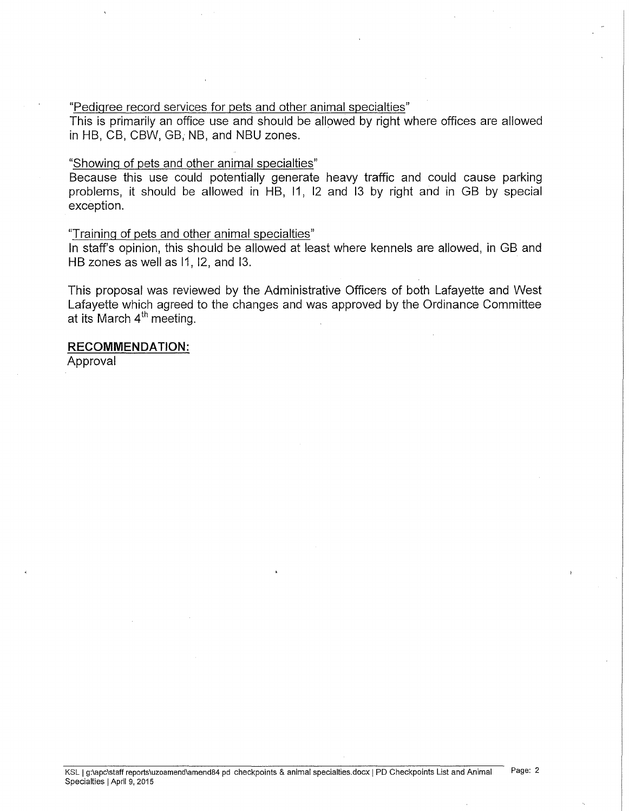#### "Pedigree record services for pets and other animal specialties"

This is primarily an office use and should be allowed by right where offices are allowed in HB, CB, CBW, GB, NB, and NBU zones.

#### "Showing of pets and other animal specialties"

Because this use could potentially generate heavy traffic and could cause parking problems, it should be allowed in HB, 11, 12 and 13 by right and in GB by special exception.

#### "Training of pets and other animal specialties"

In staff's opinion, this should be allowed at least where kennels are allowed, in GB and HB zones as well as 11, 12, and 13.

This proposal was reviewed by the Administrative Officers of both Lafayette and West Lafayette which agreed to the changes and was approved by the Ordinance Committee at its March 4<sup>th</sup> meeting.

### **RECOMMENDATION:**

Approval